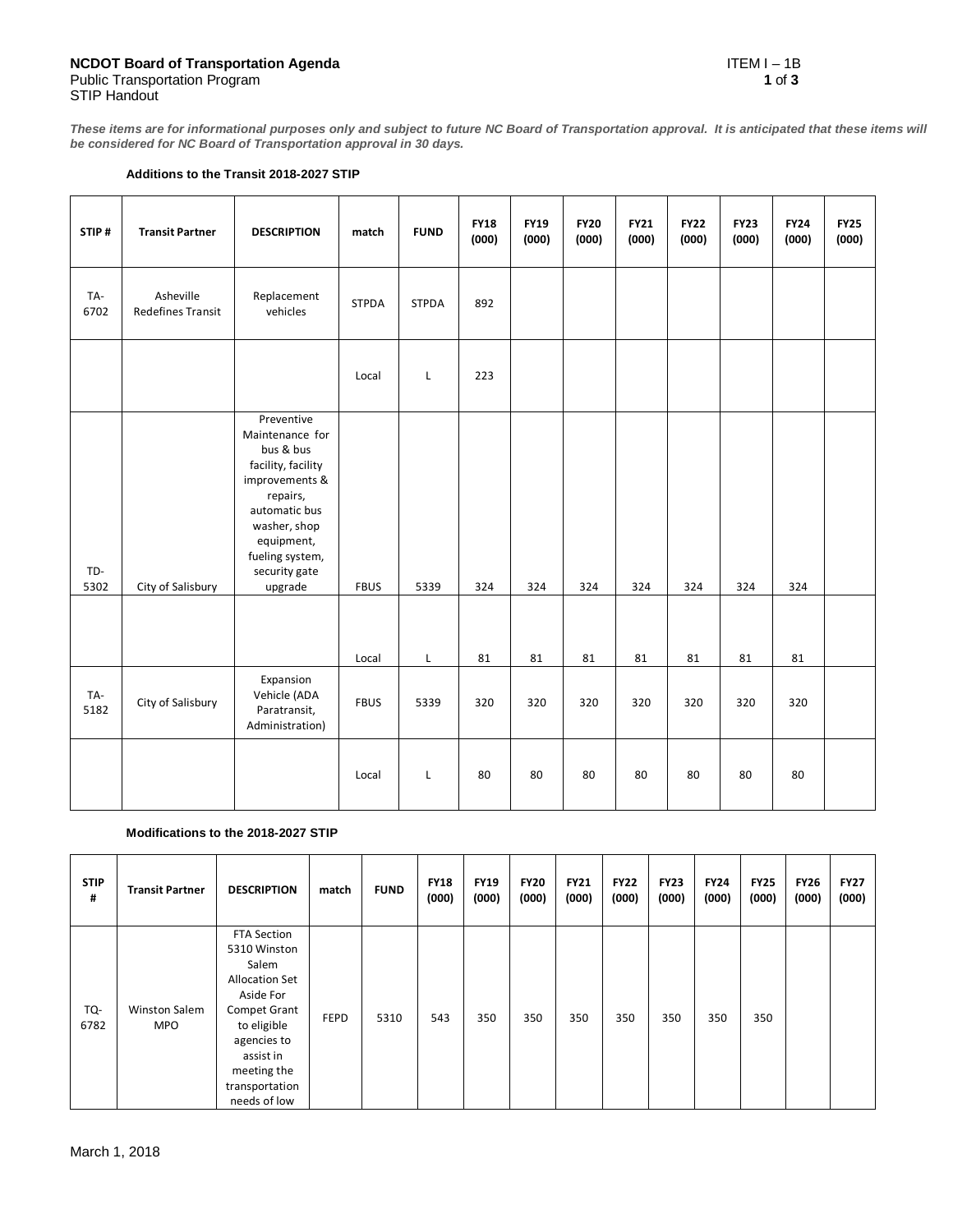**These items are for informational purposes only and subject to future NC Board of Transportation approval. It is anticipated that these items will be considered for NC Board of Transportation approval in 30 days.**

## **Additions to the Transit 2018-2027 STIP**

| STIP#       | <b>Transit Partner</b>                | <b>DESCRIPTION</b>                                                                                                                                                                           | match        | <b>FUND</b>  | <b>FY18</b><br>(000) | <b>FY19</b><br>(000) | <b>FY20</b><br>(000) | <b>FY21</b><br>(000) | <b>FY22</b><br>(000) | <b>FY23</b><br>(000) | <b>FY24</b><br>(000) | <b>FY25</b><br>(000) |
|-------------|---------------------------------------|----------------------------------------------------------------------------------------------------------------------------------------------------------------------------------------------|--------------|--------------|----------------------|----------------------|----------------------|----------------------|----------------------|----------------------|----------------------|----------------------|
| TA-<br>6702 | Asheville<br><b>Redefines Transit</b> | Replacement<br>vehicles                                                                                                                                                                      | <b>STPDA</b> | <b>STPDA</b> | 892                  |                      |                      |                      |                      |                      |                      |                      |
|             |                                       |                                                                                                                                                                                              | Local        | L            | 223                  |                      |                      |                      |                      |                      |                      |                      |
| TD-<br>5302 | City of Salisbury                     | Preventive<br>Maintenance for<br>bus & bus<br>facility, facility<br>improvements &<br>repairs,<br>automatic bus<br>washer, shop<br>equipment,<br>fueling system,<br>security gate<br>upgrade | <b>FBUS</b>  | 5339         | 324                  | 324                  | 324                  | 324                  | 324                  | 324                  | 324                  |                      |
|             |                                       |                                                                                                                                                                                              | Local        | L            | 81                   | 81                   | 81                   | 81                   | 81                   | 81                   | 81                   |                      |
| TA-<br>5182 | City of Salisbury                     | Expansion<br>Vehicle (ADA<br>Paratransit,<br>Administration)                                                                                                                                 | <b>FBUS</b>  | 5339         | 320                  | 320                  | 320                  | 320                  | 320                  | 320                  | 320                  |                      |
|             |                                       |                                                                                                                                                                                              | Local        | L            | 80                   | 80                   | 80                   | 80                   | 80                   | 80                   | 80                   |                      |

## **Modifications to the 2018-2027 STIP**

| <b>STIP</b><br># | <b>Transit Partner</b>             | <b>DESCRIPTION</b>                                                                                                                                                                     | match       | <b>FUND</b> | <b>FY18</b><br>(000) | <b>FY19</b><br>(000) | <b>FY20</b><br>(000) | <b>FY21</b><br>(000) | <b>FY22</b><br>(000) | <b>FY23</b><br>(000) | <b>FY24</b><br>(000) | <b>FY25</b><br>(000) | <b>FY26</b><br>(000) | <b>FY27</b><br>(000) |
|------------------|------------------------------------|----------------------------------------------------------------------------------------------------------------------------------------------------------------------------------------|-------------|-------------|----------------------|----------------------|----------------------|----------------------|----------------------|----------------------|----------------------|----------------------|----------------------|----------------------|
| TQ-<br>6782      | <b>Winston Salem</b><br><b>MPO</b> | FTA Section<br>5310 Winston<br>Salem<br><b>Allocation Set</b><br>Aside For<br>Compet Grant<br>to eligible<br>agencies to<br>assist in<br>meeting the<br>transportation<br>needs of low | <b>FEPD</b> | 5310        | 543                  | 350                  | 350                  | 350                  | 350                  | 350                  | 350                  | 350                  |                      |                      |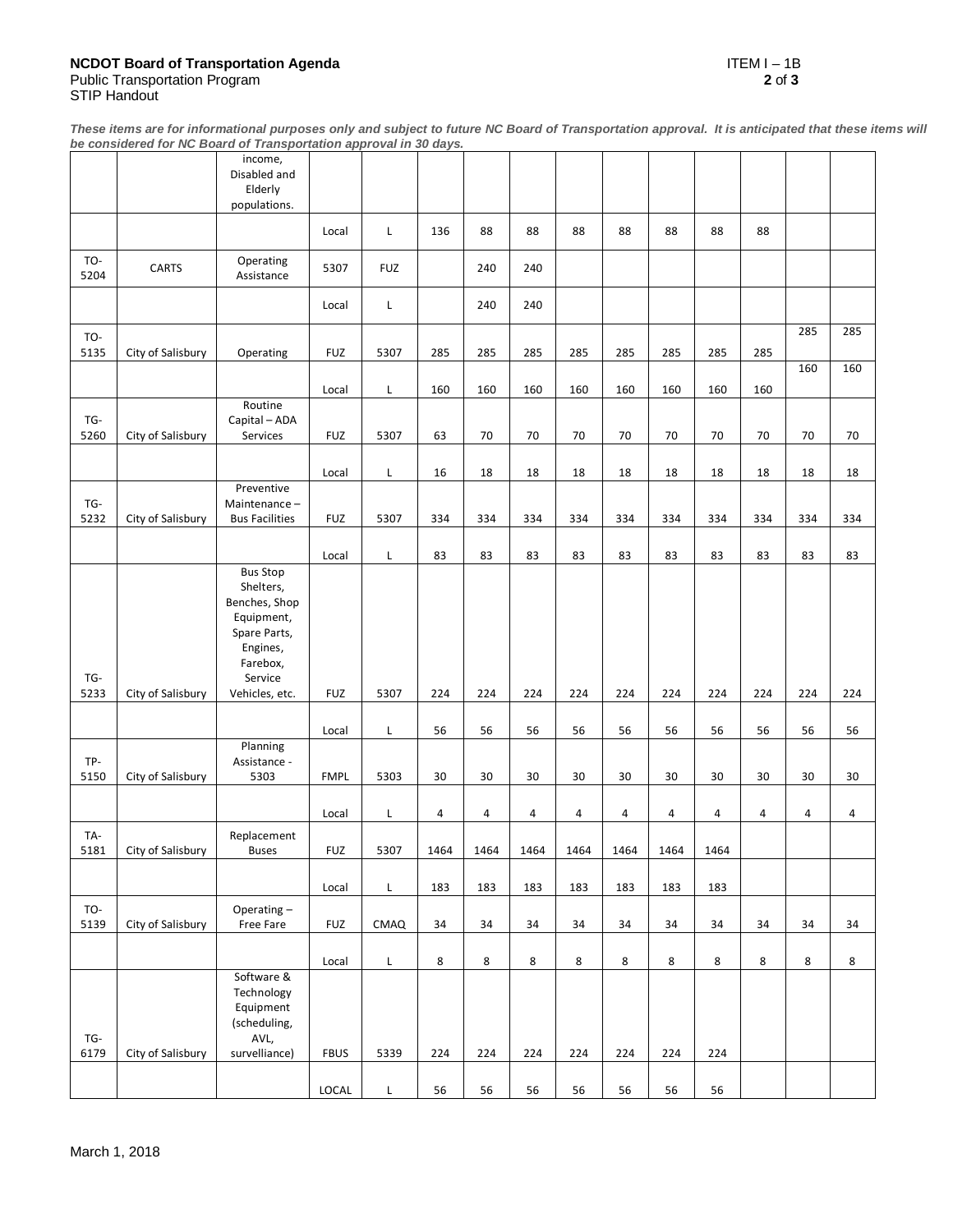**These items are for informational purposes only and subject to future NC Board of Transportation approval. It is anticipated that these items will be considered for NC Board of Transportation approval in 30 days.**

|             |                   | income,<br>Disabled and<br>Elderly                          |             |            |      |      |      |      |      |      |      |     |         |     |
|-------------|-------------------|-------------------------------------------------------------|-------------|------------|------|------|------|------|------|------|------|-----|---------|-----|
|             |                   | populations.                                                |             |            |      |      |      |      |      |      |      |     |         |     |
|             |                   |                                                             | Local       | L          | 136  | 88   | 88   | 88   | 88   | 88   | 88   | 88  |         |     |
| TO-<br>5204 | CARTS             | Operating<br>Assistance                                     | 5307        | <b>FUZ</b> |      | 240  | 240  |      |      |      |      |     |         |     |
|             |                   |                                                             | Local       | L          |      | 240  | 240  |      |      |      |      |     |         |     |
| TO-<br>5135 | City of Salisbury | Operating                                                   | <b>FUZ</b>  | 5307       | 285  | 285  | 285  | 285  | 285  | 285  | 285  | 285 | 285     | 285 |
|             |                   |                                                             | Local       | L          | 160  | 160  | 160  | 160  | 160  | 160  | 160  | 160 | 160     | 160 |
| TG-         |                   | Routine<br>Capital - ADA                                    |             |            |      |      |      |      |      |      |      |     |         |     |
| 5260        | City of Salisbury | Services                                                    | <b>FUZ</b>  | 5307       | 63   | 70   | 70   | 70   | 70   | 70   | 70   | 70  | 70      | 70  |
|             |                   |                                                             | Local       | L          | 16   | 18   | 18   | 18   | 18   | 18   | 18   | 18  | 18      | 18  |
| TG-         |                   | Preventive<br>Maintenance-                                  |             |            |      |      |      |      |      |      |      |     |         |     |
| 5232        | City of Salisbury | <b>Bus Facilities</b>                                       | <b>FUZ</b>  | 5307       | 334  | 334  | 334  | 334  | 334  | 334  | 334  | 334 | 334     | 334 |
|             |                   |                                                             | Local       | L          | 83   | 83   | 83   | 83   | 83   | 83   | 83   | 83  | 83      | 83  |
|             |                   | <b>Bus Stop</b><br>Shelters,<br>Benches, Shop<br>Equipment, |             |            |      |      |      |      |      |      |      |     |         |     |
|             |                   | Spare Parts,<br>Engines,<br>Farebox,                        |             |            |      |      |      |      |      |      |      |     |         |     |
| TG-<br>5233 | City of Salisbury | Service<br>Vehicles, etc.                                   | <b>FUZ</b>  | 5307       | 224  | 224  | 224  | 224  | 224  | 224  | 224  | 224 | 224     | 224 |
|             |                   |                                                             |             |            |      |      |      |      |      |      |      |     |         |     |
|             |                   | Planning                                                    | Local       | L          | 56   | 56   | 56   | 56   | 56   | 56   | 56   | 56  | 56      | 56  |
| TP-<br>5150 | City of Salisbury | Assistance -<br>5303                                        | <b>FMPL</b> | 5303       | 30   | 30   | 30   | 30   | 30   | 30   | 30   | 30  | 30      | 30  |
|             |                   |                                                             | Local       | L          | 4    | 4    | 4    | 4    | 4    | 4    | 4    | 4   | 4       | 4   |
| TA-         |                   | Replacement                                                 |             |            |      |      |      |      |      |      |      |     |         |     |
| 5181        | City of Salisbury | <b>Buses</b>                                                | <b>FUZ</b>  | 5307       | 1464 | 1464 | 1464 | 1464 | 1464 | 1464 | 1464 |     |         |     |
|             |                   |                                                             | Local       | L          | 183  | 183  | 183  | 183  | 183  | 183  | 183  |     |         |     |
| TO-<br>5139 | City of Salisbury | Operating-<br>Free Fare                                     | <b>FUZ</b>  | CMAQ       | 34   | 34   | 34   | 34   | 34   | 34   | 34   | 34  | 34      | 34  |
|             |                   |                                                             | Local       | L          | 8    | 8    | 8    | 8    | 8    | 8    | 8    | 8   | $\bf 8$ | 8   |
|             |                   | Software &<br>Technology<br>Equipment<br>(scheduling,       |             |            |      |      |      |      |      |      |      |     |         |     |
| TG-<br>6179 | City of Salisbury | AVL,<br>survelliance)                                       | <b>FBUS</b> | 5339       | 224  | 224  | 224  | 224  | 224  | 224  | 224  |     |         |     |
|             |                   |                                                             | LOCAL       | L          | 56   | 56   | 56   | 56   | 56   | 56   | 56   |     |         |     |